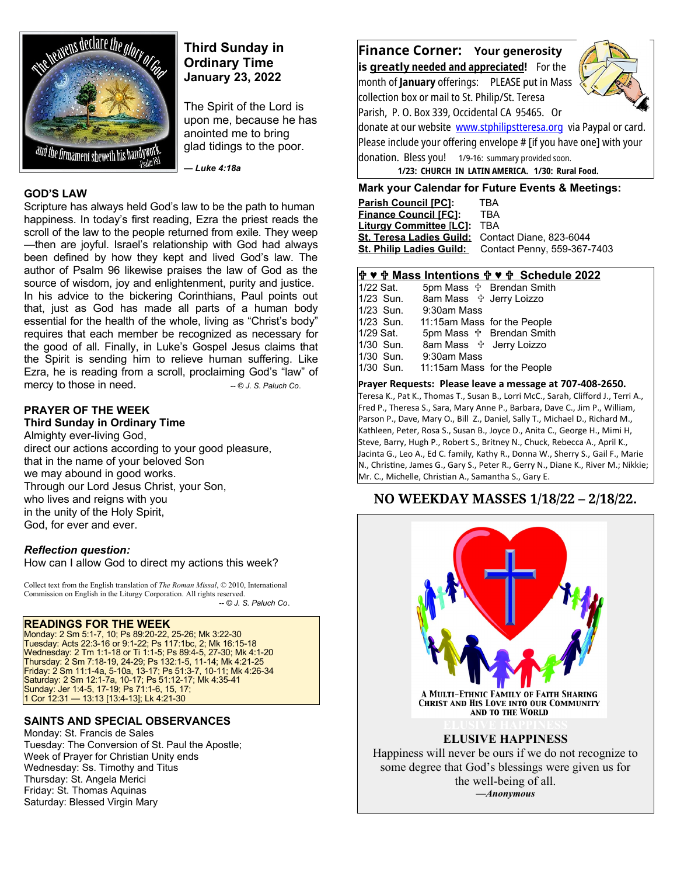

# **Third Sunday in Ordinary Time January 23, 2022**

The Spirit of the Lord is upon me, because he has anointed me to bring glad tidings to the poor. Ì

*— Luke 4:18a* 

## **GOD'S LAW**

Scripture has always held God's law to be the path to human happiness. In today's first reading, Ezra the priest reads the scroll of the law to the people returned from exile. They weep —then are joyful. Israel's relationship with God had always been defined by how they kept and lived God's law. The author of Psalm 96 likewise praises the law of God as the source of wisdom, joy and enlightenment, purity and justice. In his advice to the bickering Corinthians, Paul points out that, just as God has made all parts of a human body essential for the health of the whole, living as "Christ's body" requires that each member be recognized as necessary for the good of all. Finally, in Luke's Gospel Jesus claims that the Spirit is sending him to relieve human suffering. Like Ezra, he is reading from a scroll, proclaiming God's "law" of mercy to those in need. *-- © J. S. Paluch Co.* 

## **PRAYER OF THE WEEK**

## **Third Sunday in Ordinary Time**

Almighty ever-living God, direct our actions according to your good pleasure, that in the name of your beloved Son we may abound in good works. Through our Lord Jesus Christ, your Son, who lives and reigns with you in the unity of the Holy Spirit, God, for ever and ever.

#### *Reflection question:*

How can I allow God to direct my actions this week?

Collect text from the English translation of *The Roman Missal*, © 2010, International Commission on English in the Liturgy Corporation. All rights reserved.  *-- © J. S. Paluch Co*.

#### **READINGS FOR THE WEEK**

Monday: 2 Sm 5:1-7, 10; Ps 89:20-22, 25-26; Mk 3:22-30 Tuesday: Acts 22:3-16 or 9:1-22; Ps 117:1bc, 2; Mk 16:15-18 Wednesday: 2 Tm 1:1-18 or Ti 1:1-5; Ps 89:4-5, 27-30; Mk 4:1-20 Thursday: 2 Sm 7:18-19, 24-29; Ps 132:1-5, 11-14; Mk 4:21-25 Friday: 2 Sm 11:1-4a, 5-10a, 13-17; Ps 51:3-7, 10-11; Mk 4:26-34 Saturday: 2 Sm 12:1-7a, 10-17; Ps 51:12-17; Mk 4:35-41 Sunday: Jer 1:4-5, 17-19; Ps 71:1-6, 15, 17; 1 Cor 12:31 — 13:13 [13:4-13]; Lk 4:21-30

## **SAINTS AND SPECIAL OBSERVANCES**

Monday: St. Francis de Sales Tuesday: The Conversion of St. Paul the Apostle; Week of Prayer for Christian Unity ends Wednesday: Ss. Timothy and Titus Thursday: St. Angela Merici Friday: St. Thomas Aquinas Saturday: Blessed Virgin Mary

**Finance Corner: Your generosity is greatly needed and appreciated!** For the month of **January** offerings: PLEASE put in Mass collection box or mail to St. Philip/St. Teresa Parish, P. O. Box 339, Occidental CA 95465. Or donate at our website [www.stphilipstteresa.org](http://www.stphilipstteresa.org/) via Paypal or card. Please include your offering envelope # [if you have one] with your donation.Bless you! 1/9-16: summary provided soon.  **1/23: CHURCH IN LATIN AMERICA. 1/30: Rural Food.**

## **Mark your Calendar for Future Events & Meetings:**

| <b>Parish Council [PC]:</b>                      | TRA                         |
|--------------------------------------------------|-----------------------------|
| <b>Finance Council [FC]:</b>                     | TRA                         |
| <b>Liturgy Committee [LC]:</b>                   | TBA                         |
| St. Teresa Ladies Guild: Contact Diane, 823-6044 |                             |
| <b>St. Philip Ladies Guild:</b>                  | Contact Penny, 559-367-7403 |

## **♥ Mass Intentions ♥ Schedule 2022**

| 1/22 Sat. |                                  | 5pm Mass $\oplus$ Brendan Smith |
|-----------|----------------------------------|---------------------------------|
| 1/23 Sun. | 8am Mass <b>the Jerry Loizzo</b> |                                 |
| 1/23 Sun. | 9:30am Mass                      |                                 |
| 1/23 Sun. | 11:15am Mass for the People      |                                 |
| 1/29 Sat. |                                  | 5pm Mass $\oplus$ Brendan Smith |
| 1/30 Sun. | 8am Mass <b>the Jerry Loizzo</b> |                                 |
| 1/30 Sun. | 9:30am Mass                      |                                 |
| 1/30 Sun. | 11:15am Mass for the People      |                                 |
|           |                                  |                                 |

#### **Prayer Requests: Please leave a message at 707-408-2650.**

Teresa K., Pat K., Thomas T., Susan B., Lorri McC., Sarah, Clifford J., Terri A., Fred P., Theresa S., Sara, Mary Anne P., Barbara, Dave C., Jim P., William, Parson P., Dave, Mary O., Bill Z., Daniel, Sally T., Michael D., Richard M., Kathleen, Peter, Rosa S., Susan B., Joyce D., Anita C., George H., Mimi H, Steve, Barry, Hugh P., Robert S., Britney N., Chuck, Rebecca A., April K., Jacinta G., Leo A., Ed C. family, Kathy R., Donna W., Sherry S., Gail F., Marie N., Christine, James G., Gary S., Peter R., Gerry N., Diane K., River M.; Nikkie; Mr. C., Michelle, Christian A., Samantha S., Gary E.

## **NO WEEKDAY MASSES 1/18/22 – 2/18/22.**



some degree that God's blessings were given us for the well-being of all. *—Anonymous*

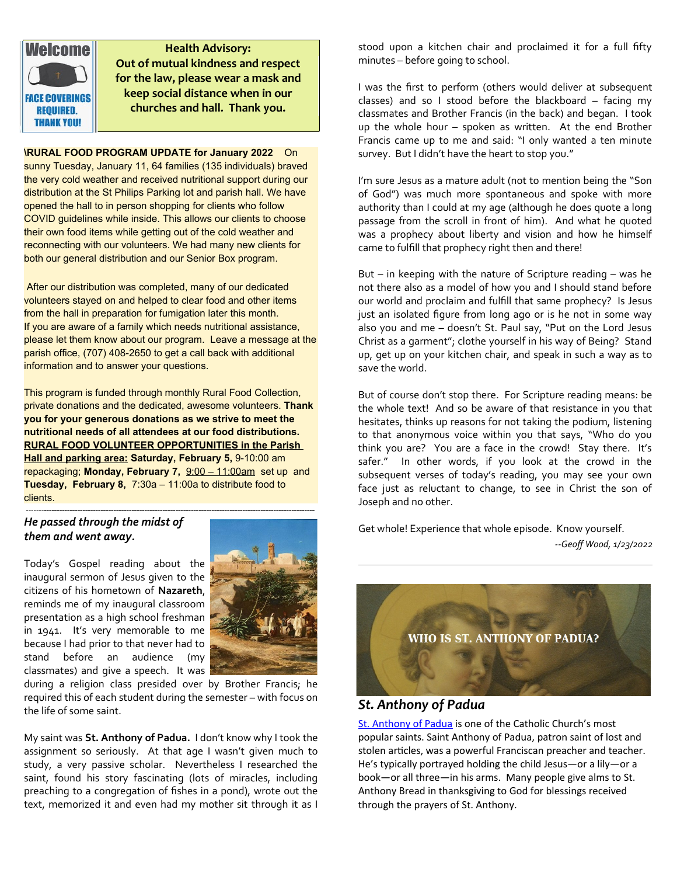

**Health Advisory: Out of mutual kindness and respect for the law, please wear a mask and keep social distance when in our churches and hall. Thank you.**

**\RURAL FOOD PROGRAM UPDATE for January 2022** On sunny Tuesday, January 11, 64 families (135 individuals) braved the very cold weather and received nutritional support during our distribution at the St Philips Parking lot and parish hall. We have opened the hall to in person shopping for clients who follow COVID guidelines while inside. This allows our clients to choose their own food items while getting out of the cold weather and reconnecting with our volunteers. We had many new clients for both our general distribution and our Senior Box program.

After our distribution was completed, many of our dedicated volunteers stayed on and helped to clear food and other items from the hall in preparation for fumigation later this month. If you are aware of a family which needs nutritional assistance, please let them know about our program. Leave a message at the parish office, (707) 408-2650 to get a call back with additional information and to answer your questions.

This program is funded through monthly Rural Food Collection, private donations and the dedicated, awesome volunteers. **Thank you for your generous donations as we strive to meet the nutritional needs of all attendees at our food distributions. RURAL FOOD VOLUNTEER OPPORTUNITIES in the Parish Hall and parking area: Saturday, February 5,** 9-10:00 am repackaging; **Monday, February 7,** 9:00 – 11:00am set up and **Tuesday, February 8,** 7:30a – 11:00a to distribute food to clients.

-------**---------------------------------------------------------------------------------------------------------**

## *He passed through the midst of them and went away.*

Today's Gospel reading about the inaugural sermon of Jesus given to the citizens of his hometown of **Nazareth**, reminds me of my inaugural classroom presentation as a high school freshman in 1941. It's very memorable to me because I had prior to that never had to stand before an audience (my classmates) and give a speech. It was



during a religion class presided over by Brother Francis; he required this of each student during the semester – with focus on the life of some saint.

My saint was **St. Anthony of Padua.** I don't know why I took the assignment so seriously. At that age I wasn't given much to study, a very passive scholar. Nevertheless I researched the saint, found his story fascinating (lots of miracles, including preaching to a congregation of fishes in a pond), wrote out the text, memorized it and even had my mother sit through it as I stood upon a kitchen chair and proclaimed it for a full fifty minutes – before going to school.

I was the first to perform (others would deliver at subsequent classes) and so I stood before the blackboard – facing my classmates and Brother Francis (in the back) and began. I took up the whole hour – spoken as written. At the end Brother Francis came up to me and said: "I only wanted a ten minute survey. But I didn't have the heart to stop you."

I'm sure Jesus as a mature adult (not to mention being the "Son of God") was much more spontaneous and spoke with more authority than I could at my age (although he does quote a long passage from the scroll in front of him). And what he quoted was a prophecy about liberty and vision and how he himself came to fulfill that prophecy right then and there!

But – in keeping with the nature of Scripture reading – was he not there also as a model of how you and I should stand before our world and proclaim and fulfill that same prophecy? Is Jesus just an isolated figure from long ago or is he not in some way also you and me – doesn't St. Paul say, "Put on the Lord Jesus Christ as a garment"; clothe yourself in his way of Being? Stand up, get up on your kitchen chair, and speak in such a way as to save the world.

But of course don't stop there. For Scripture reading means: be the whole text! And so be aware of that resistance in you that hesitates, thinks up reasons for not taking the podium, listening to that anonymous voice within you that says, "Who do you think you are? You are a face in the crowd! Stay there. It's safer." In other words, if you look at the crowd in the subsequent verses of today's reading, you may see your own face just as reluctant to change, to see in Christ the son of Joseph and no other.

Get whole! Experience that whole episode. Know yourself. *--Geoff Wood, 1/23/2022*



# *St. Anthony of Padua*

[St. Anthony of Padua](https://www.stanthony.org/who-st-anthony/) is one of the Catholic Church's most popular saints. Saint Anthony of Padua, patron saint of lost and stolen articles, was a powerful Franciscan preacher and teacher. He's typically portrayed holding the child Jesus—or a lily—or a book—or all three—in his arms. Many people give alms to St. Anthony Bread in thanksgiving to God for blessings received through the prayers of St. Anthony.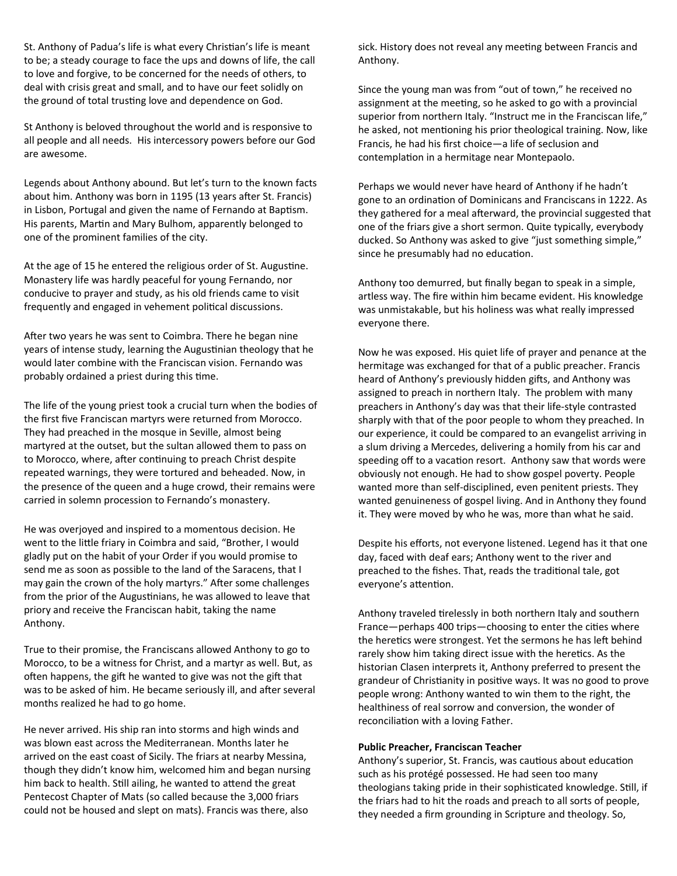St. Anthony of Padua's life is what every Christian's life is meant to be; a steady courage to face the ups and downs of life, the call to love and forgive, to be concerned for the needs of others, to deal with crisis great and small, and to have our feet solidly on the ground of total trusting love and dependence on God.

St Anthony is beloved throughout the world and is responsive to all people and all needs. His intercessory powers before our God are awesome.

Legends about Anthony abound. But let's turn to the known facts about him. Anthony was born in 1195 (13 years after St. Francis) in Lisbon, Portugal and given the name of Fernando at Baptism. His parents, Martin and Mary Bulhom, apparently belonged to one of the prominent families of the city.

At the age of 15 he entered the religious order of St. Augustine. Monastery life was hardly peaceful for young Fernando, nor conducive to prayer and study, as his old friends came to visit frequently and engaged in vehement political discussions.

After two years he was sent to Coimbra. There he began nine years of intense study, learning the Augustinian theology that he would later combine with the Franciscan vision. Fernando was probably ordained a priest during this time.

The life of the young priest took a crucial turn when the bodies of the first five Franciscan martyrs were returned from Morocco. They had preached in the mosque in Seville, almost being martyred at the outset, but the sultan allowed them to pass on to Morocco, where, after continuing to preach Christ despite repeated warnings, they were tortured and beheaded. Now, in the presence of the queen and a huge crowd, their remains were carried in solemn procession to Fernando's monastery.

He was overjoyed and inspired to a momentous decision. He went to the little friary in Coimbra and said, "Brother, I would gladly put on the habit of your Order if you would promise to send me as soon as possible to the land of the Saracens, that I may gain the crown of the holy martyrs." After some challenges from the prior of the Augustinians, he was allowed to leave that priory and receive the Franciscan habit, taking the name Anthony.

True to their promise, the Franciscans allowed Anthony to go to Morocco, to be a witness for Christ, and a martyr as well. But, as often happens, the gift he wanted to give was not the gift that was to be asked of him. He became seriously ill, and after several months realized he had to go home.

He never arrived. His ship ran into storms and high winds and was blown east across the Mediterranean. Months later he arrived on the east coast of Sicily. The friars at nearby Messina, though they didn't know him, welcomed him and began nursing him back to health. Still ailing, he wanted to attend the great Pentecost Chapter of Mats (so called because the 3,000 friars could not be housed and slept on mats). Francis was there, also

sick. History does not reveal any meeting between Francis and Anthony.

Since the young man was from "out of town," he received no assignment at the meeting, so he asked to go with a provincial superior from northern Italy. "Instruct me in the Franciscan life," he asked, not mentioning his prior theological training. Now, like Francis, he had his first choice—a life of seclusion and contemplation in a hermitage near Montepaolo.

Perhaps we would never have heard of Anthony if he hadn't gone to an ordination of Dominicans and Franciscans in 1222. As they gathered for a meal afterward, the provincial suggested that one of the friars give a short sermon. Quite typically, everybody ducked. So Anthony was asked to give "just something simple," since he presumably had no education.

Anthony too demurred, but finally began to speak in a simple, artless way. The fire within him became evident. His knowledge was unmistakable, but his holiness was what really impressed everyone there.

Now he was exposed. His quiet life of prayer and penance at the hermitage was exchanged for that of a public preacher. Francis heard of Anthony's previously hidden gifts, and Anthony was assigned to preach in northern Italy. The problem with many preachers in Anthony's day was that their life-style contrasted sharply with that of the poor people to whom they preached. In our experience, it could be compared to an evangelist arriving in a slum driving a Mercedes, delivering a homily from his car and speeding off to a vacation resort. Anthony saw that words were obviously not enough. He had to show gospel poverty. People wanted more than self-disciplined, even penitent priests. They wanted genuineness of gospel living. And in Anthony they found it. They were moved by who he was, more than what he said.

Despite his efforts, not everyone listened. Legend has it that one day, faced with deaf ears; Anthony went to the river and preached to the fishes. That, reads the traditional tale, got everyone's attention.

Anthony traveled tirelessly in both northern Italy and southern France—perhaps 400 trips—choosing to enter the cities where the heretics were strongest. Yet the sermons he has left behind rarely show him taking direct issue with the heretics. As the historian Clasen interprets it, Anthony preferred to present the grandeur of Christianity in positive ways. It was no good to prove people wrong: Anthony wanted to win them to the right, the healthiness of real sorrow and conversion, the wonder of reconciliation with a loving Father.

#### **Public Preacher, Franciscan Teacher**

Anthony's superior, St. Francis, was cautious about education such as his protégé possessed. He had seen too many theologians taking pride in their sophisticated knowledge. Still, if the friars had to hit the roads and preach to all sorts of people, they needed a firm grounding in Scripture and theology. So,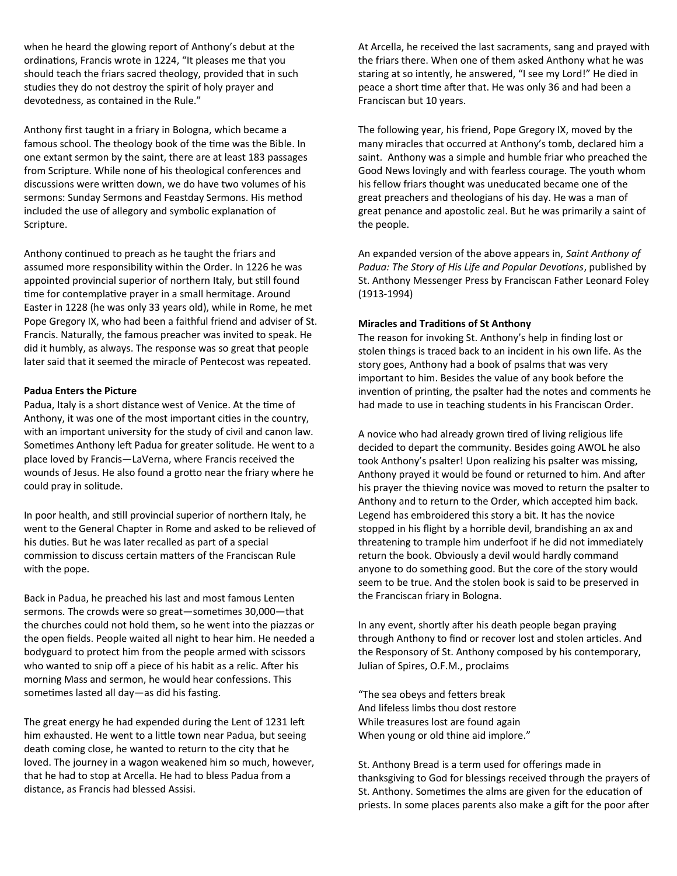when he heard the glowing report of Anthony's debut at the ordinations, Francis wrote in 1224, "It pleases me that you should teach the friars sacred theology, provided that in such studies they do not destroy the spirit of holy prayer and devotedness, as contained in the Rule."

Anthony first taught in a friary in Bologna, which became a famous school. The theology book of the time was the Bible. In one extant sermon by the saint, there are at least 183 passages from Scripture. While none of his theological conferences and discussions were written down, we do have two volumes of his sermons: Sunday Sermons and Feastday Sermons. His method included the use of allegory and symbolic explanation of Scripture.

Anthony continued to preach as he taught the friars and assumed more responsibility within the Order. In 1226 he was appointed provincial superior of northern Italy, but still found time for contemplative prayer in a small hermitage. Around Easter in 1228 (he was only 33 years old), while in Rome, he met Pope Gregory IX, who had been a faithful friend and adviser of St. Francis. Naturally, the famous preacher was invited to speak. He did it humbly, as always. The response was so great that people later said that it seemed the miracle of Pentecost was repeated.

### **Padua Enters the Picture**

Padua, Italy is a short distance west of Venice. At the time of Anthony, it was one of the most important cities in the country, with an important university for the study of civil and canon law. Sometimes Anthony left Padua for greater solitude. He went to a place loved by Francis—LaVerna, where Francis received the wounds of Jesus. He also found a grotto near the friary where he could pray in solitude.

In poor health, and still provincial superior of northern Italy, he went to the General Chapter in Rome and asked to be relieved of his duties. But he was later recalled as part of a special commission to discuss certain matters of the Franciscan Rule with the pope.

Back in Padua, he preached his last and most famous Lenten sermons. The crowds were so great—sometimes 30,000—that the churches could not hold them, so he went into the piazzas or the open fields. People waited all night to hear him. He needed a bodyguard to protect him from the people armed with scissors who wanted to snip off a piece of his habit as a relic. After his morning Mass and sermon, he would hear confessions. This sometimes lasted all day—as did his fasting.

The great energy he had expended during the Lent of 1231 left him exhausted. He went to a little town near Padua, but seeing death coming close, he wanted to return to the city that he loved. The journey in a wagon weakened him so much, however, that he had to stop at Arcella. He had to bless Padua from a distance, as Francis had blessed Assisi.

At Arcella, he received the last sacraments, sang and prayed with the friars there. When one of them asked Anthony what he was staring at so intently, he answered, "I see my Lord!" He died in peace a short time after that. He was only 36 and had been a Franciscan but 10 years.

The following year, his friend, Pope Gregory IX, moved by the many miracles that occurred at Anthony's tomb, declared him a saint. Anthony was a simple and humble friar who preached the Good News lovingly and with fearless courage. The youth whom his fellow friars thought was uneducated became one of the great preachers and theologians of his day. He was a man of great penance and apostolic zeal. But he was primarily a saint of the people.

An expanded version of the above appears in, *Saint Anthony of Padua: The Story of His Life and Popular Devotions*, published by St. Anthony Messenger Press by Franciscan Father Leonard Foley (1913-1994)

#### **Miracles and Traditions of St Anthony**

The reason for invoking St. Anthony's help in finding lost or stolen things is traced back to an incident in his own life. As the story goes, Anthony had a book of psalms that was very important to him. Besides the value of any book before the invention of printing, the psalter had the notes and comments he had made to use in teaching students in his Franciscan Order.

A novice who had already grown tired of living religious life decided to depart the community. Besides going AWOL he also took Anthony's psalter! Upon realizing his psalter was missing, Anthony prayed it would be found or returned to him. And after his prayer the thieving novice was moved to return the psalter to Anthony and to return to the Order, which accepted him back. Legend has embroidered this story a bit. It has the novice stopped in his flight by a horrible devil, brandishing an ax and threatening to trample him underfoot if he did not immediately return the book. Obviously a devil would hardly command anyone to do something good. But the core of the story would seem to be true. And the stolen book is said to be preserved in the Franciscan friary in Bologna.

In any event, shortly after his death people began praying through Anthony to find or recover lost and stolen articles. And the Responsory of St. Anthony composed by his contemporary, Julian of Spires, O.F.M., proclaims

"The sea obeys and fetters break And lifeless limbs thou dost restore While treasures lost are found again When young or old thine aid implore."

St. Anthony Bread is a term used for offerings made in thanksgiving to God for blessings received through the prayers of St. Anthony. Sometimes the alms are given for the education of priests. In some places parents also make a gift for the poor after